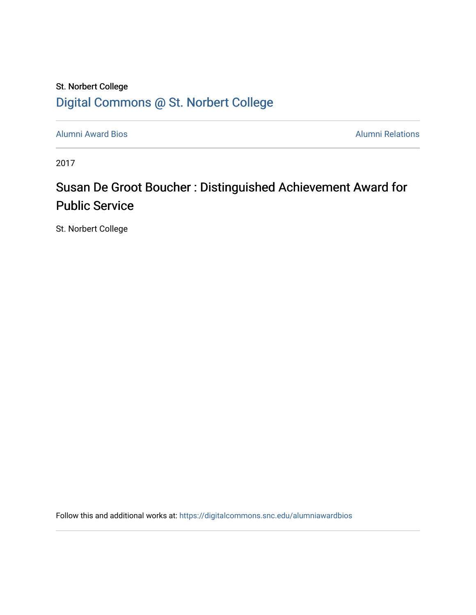### St. Norbert College [Digital Commons @ St. Norbert College](https://digitalcommons.snc.edu/)

[Alumni Award Bios](https://digitalcommons.snc.edu/alumniawardbios) **Alumni Relations** Alumni Relations

2017

## Susan De Groot Boucher : Distinguished Achievement Award for Public Service

St. Norbert College

Follow this and additional works at: [https://digitalcommons.snc.edu/alumniawardbios](https://digitalcommons.snc.edu/alumniawardbios?utm_source=digitalcommons.snc.edu%2Falumniawardbios%2F75&utm_medium=PDF&utm_campaign=PDFCoverPages)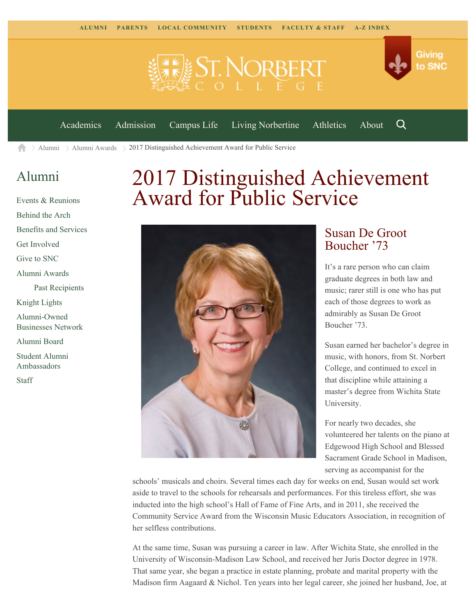



Q

[Academics](https://www.snc.edu/academics) [Admission](https://www.snc.edu/admission) [Campus Life](https://www.snc.edu/campuslife) [Living Norbertine](https://www.snc.edu/livingnorbertine) [Athletics](https://www.snc.edu/athletics) [About](https://www.snc.edu/about)

[Alumni](https://www.snc.edu/alumni/) [Alumni Awards](https://www.snc.edu/alumni/awards/) 2017 Distinguished Achievement Award for Public Service A

#### [Alumni](https://www.snc.edu/alumni/index.html)

[Events & Reunions](https://www.snc.edu/alumni/event/index.html) [Behind the Arch](https://www.snc.edu/alumni/event/behindthearch/) [Benefits and Services](https://www.snc.edu/alumni/benefits.html) [Get Involved](https://www.snc.edu/alumni/getinvolved.html) [Give to SNC](http://giving.snc.edu/) [Alumni Awards](https://www.snc.edu/alumni/awards/index.html) [Past Recipients](https://www.snc.edu/alumni/awards/recipients.html) [Knight Lights](https://www.snc.edu/alumni/knightlights/index.html) [Alumni-Owned](https://www.snc.edu/alumni/directory/index.html) [Businesses Network](https://www.snc.edu/alumni/directory/index.html) [Alumni Board](https://www.snc.edu/alumni/alumniboard.html) [Student Alumni](https://www.snc.edu/alumni/saa.html) [Ambassadors](https://www.snc.edu/alumni/saa.html) [Staff](https://www.snc.edu/alumni/contactus.html)

# 2017 Distinguished Achievement Award for Public Service



#### Susan De Groot Boucher '73

It's a rare person who can claim graduate degrees in both law and music; rarer still is one who has put each of those degrees to work as admirably as Susan De Groot Boucher '73.

Susan earned her bachelor's degree in music, with honors, from St. Norbert College, and continued to excel in that discipline while attaining a master's degree from Wichita State University.

For nearly two decades, she volunteered her talents on the piano at Edgewood High School and Blessed Sacrament Grade School in Madison, serving as accompanist for the

schools' musicals and choirs. Several times each day for weeks on end, Susan would set work aside to travel to the schools for rehearsals and performances. For this tireless effort, she was inducted into the high school's Hall of Fame of Fine Arts, and in 2011, she received the Community Service Award from the Wisconsin Music Educators Association, in recognition of her selfless contributions.

At the same time, Susan was pursuing a career in law. After Wichita State, she enrolled in the University of Wisconsin-Madison Law School, and received her Juris Doctor degree in 1978. That same year, she began a practice in estate planning, probate and marital property with the Madison firm Aagaard & Nichol. Ten years into her legal career, she joined her husband, Joe, at